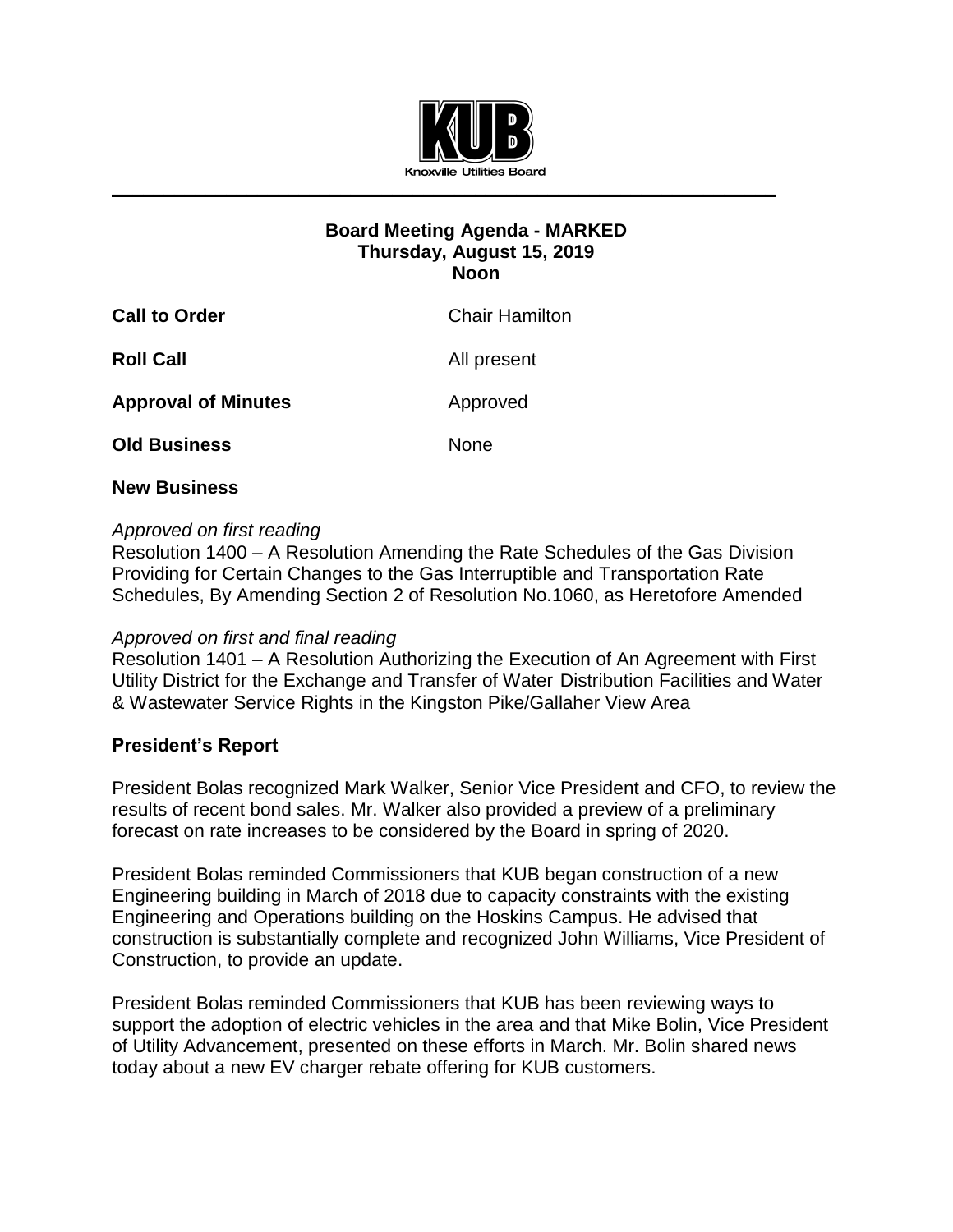

# **Board Meeting Agenda - MARKED Thursday, August 15, 2019 Noon**

| <b>Call to Order</b>       | <b>Chair Hamilton</b> |
|----------------------------|-----------------------|
| <b>Roll Call</b>           | All present           |
| <b>Approval of Minutes</b> | Approved              |
| <b>Old Business</b>        | None                  |
|                            |                       |

# **New Business**

# *Approved on first reading*

Resolution 1400 – A Resolution Amending the Rate Schedules of the Gas Division Providing for Certain Changes to the Gas Interruptible and Transportation Rate Schedules, By Amending Section 2 of Resolution No.1060, as Heretofore Amended

#### *Approved on first and final reading*

Resolution 1401 – A Resolution Authorizing the Execution of An Agreement with First Utility District for the Exchange and Transfer of Water Distribution Facilities and Water & Wastewater Service Rights in the Kingston Pike/Gallaher View Area

# **President's Report**

President Bolas recognized Mark Walker, Senior Vice President and CFO, to review the results of recent bond sales. Mr. Walker also provided a preview of a preliminary forecast on rate increases to be considered by the Board in spring of 2020.

President Bolas reminded Commissioners that KUB began construction of a new Engineering building in March of 2018 due to capacity constraints with the existing Engineering and Operations building on the Hoskins Campus. He advised that construction is substantially complete and recognized John Williams, Vice President of Construction, to provide an update.

President Bolas reminded Commissioners that KUB has been reviewing ways to support the adoption of electric vehicles in the area and that Mike Bolin, Vice President of Utility Advancement, presented on these efforts in March. Mr. Bolin shared news today about a new EV charger rebate offering for KUB customers.